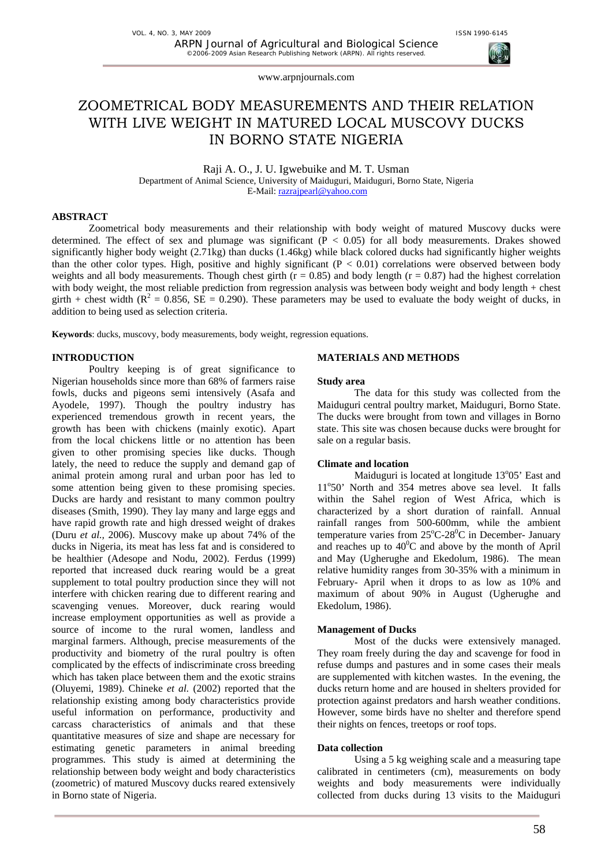# ZOOMETRICAL BODY MEASUREMENTS AND THEIR RELATION WITH LIVE WEIGHT IN MATURED LOCAL MUSCOVY DUCKS IN BORNO STATE NIGERIA

Raji A. O., J. U. Igwebuike and M. T. Usman Department of Animal Science, University of Maiduguri, Maiduguri, Borno State, Nigeria E-Mail: razrajpearl@yahoo.com

## **ABSTRACT**

Zoometrical body measurements and their relationship with body weight of matured Muscovy ducks were determined. The effect of sex and plumage was significant  $(P < 0.05)$  for all body measurements. Drakes showed significantly higher body weight (2.71kg) than ducks (1.46kg) while black colored ducks had significantly higher weights than the other color types. High, positive and highly significant  $(P < 0.01)$  correlations were observed between body weights and all body measurements. Though chest girth ( $r = 0.85$ ) and body length ( $r = 0.87$ ) had the highest correlation with body weight, the most reliable prediction from regression analysis was between body weight and body length + chest girth + chest width ( $R^2 = 0.856$ ,  $SE = 0.290$ ). These parameters may be used to evaluate the body weight of ducks, in addition to being used as selection criteria.

**Keywords**: ducks, muscovy, body measurements, body weight, regression equations.

## **INTRODUCTION**

Poultry keeping is of great significance to Nigerian households since more than 68% of farmers raise fowls, ducks and pigeons semi intensively (Asafa and Ayodele, 1997). Though the poultry industry has experienced tremendous growth in recent years, the growth has been with chickens (mainly exotic). Apart from the local chickens little or no attention has been given to other promising species like ducks. Though lately, the need to reduce the supply and demand gap of animal protein among rural and urban poor has led to some attention being given to these promising species. Ducks are hardy and resistant to many common poultry diseases (Smith, 1990). They lay many and large eggs and have rapid growth rate and high dressed weight of drakes (Duru *et al.,* 2006). Muscovy make up about 74% of the ducks in Nigeria, its meat has less fat and is considered to be healthier (Adesope and Nodu, 2002). Ferdus (1999) reported that increased duck rearing would be a great supplement to total poultry production since they will not interfere with chicken rearing due to different rearing and scavenging venues. Moreover, duck rearing would increase employment opportunities as well as provide a source of income to the rural women, landless and marginal farmers. Although, precise measurements of the productivity and biometry of the rural poultry is often complicated by the effects of indiscriminate cross breeding which has taken place between them and the exotic strains (Oluyemi, 1989). Chineke *et al.* (2002) reported that the relationship existing among body characteristics provide useful information on performance, productivity and carcass characteristics of animals and that these quantitative measures of size and shape are necessary for estimating genetic parameters in animal breeding programmes. This study is aimed at determining the relationship between body weight and body characteristics (zoometric) of matured Muscovy ducks reared extensively in Borno state of Nigeria.

### **MATERIALS AND METHODS**

### **Study area**

The data for this study was collected from the Maiduguri central poultry market, Maiduguri, Borno State. The ducks were brought from town and villages in Borno state. This site was chosen because ducks were brought for sale on a regular basis.

### **Climate and location**

Maiduguri is located at longitude 13°05' East and 11°50' North and 354 metres above sea level. It falls within the Sahel region of West Africa, which is characterized by a short duration of rainfall. Annual rainfall ranges from 500-600mm, while the ambient temperature varies from  $25^{\circ}$ C-28 $^{\circ}$ C in December- January and reaches up to  $40^{\circ}$ C and above by the month of April and May (Ugherughe and Ekedolum, 1986). The mean relative humidity ranges from 30-35% with a minimum in February- April when it drops to as low as 10% and maximum of about 90% in August (Ugherughe and Ekedolum, 1986).

### **Management of Ducks**

Most of the ducks were extensively managed. They roam freely during the day and scavenge for food in refuse dumps and pastures and in some cases their meals are supplemented with kitchen wastes. In the evening, the ducks return home and are housed in shelters provided for protection against predators and harsh weather conditions. However, some birds have no shelter and therefore spend their nights on fences, treetops or roof tops.

## **Data collection**

Using a 5 kg weighing scale and a measuring tape calibrated in centimeters (cm), measurements on body weights and body measurements were individually collected from ducks during 13 visits to the Maiduguri

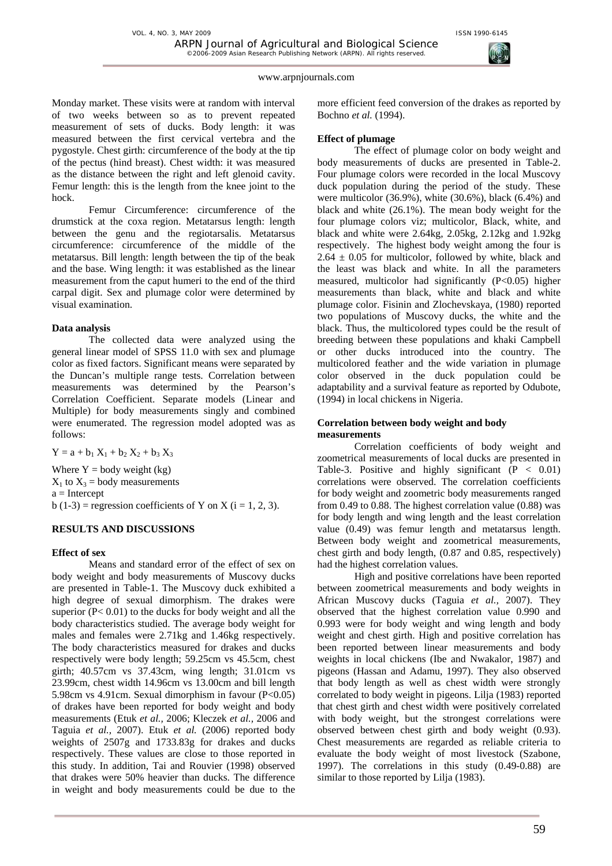Monday market. These visits were at random with interval of two weeks between so as to prevent repeated measurement of sets of ducks. Body length: it was measured between the first cervical vertebra and the pygostyle. Chest girth: circumference of the body at the tip of the pectus (hind breast). Chest width: it was measured as the distance between the right and left glenoid cavity. Femur length: this is the length from the knee joint to the hock.

Femur Circumference: circumference of the drumstick at the coxa region. Metatarsus length: length between the genu and the regiotarsalis. Metatarsus circumference: circumference of the middle of the metatarsus. Bill length: length between the tip of the beak and the base. Wing length: it was established as the linear measurement from the caput humeri to the end of the third carpal digit. Sex and plumage color were determined by visual examination.

### **Data analysis**

The collected data were analyzed using the general linear model of SPSS 11.0 with sex and plumage color as fixed factors. Significant means were separated by the Duncan's multiple range tests. Correlation between measurements was determined by the Pearson's Correlation Coefficient. Separate models (Linear and Multiple) for body measurements singly and combined were enumerated. The regression model adopted was as follows:

 $Y = a + b_1 X_1 + b_2 X_2 + b_3 X_3$ 

Where  $Y =$  body weight (kg)  $X_1$  to  $X_3$  = body measurements  $a =$ Intercept b (1-3) = regression coefficients of Y on X ( $i = 1, 2, 3$ ).

## **RESULTS AND DISCUSSIONS**

## **Effect of sex**

Means and standard error of the effect of sex on body weight and body measurements of Muscovy ducks are presented in Table-1. The Muscovy duck exhibited a high degree of sexual dimorphism. The drakes were superior  $(P< 0.01)$  to the ducks for body weight and all the body characteristics studied. The average body weight for males and females were 2.71kg and 1.46kg respectively. The body characteristics measured for drakes and ducks respectively were body length; 59.25cm vs 45.5cm, chest girth; 40.57cm vs 37.43cm, wing length; 31.01cm vs 23.99cm, chest width 14.96cm vs 13.00cm and bill length 5.98cm vs 4.91cm. Sexual dimorphism in favour (P<0.05) of drakes have been reported for body weight and body measurements (Etuk *et al.,* 2006; Kleczek *et al.,* 2006 and Taguia *et al.,* 2007). Etuk *et al.* (2006) reported body weights of 2507g and 1733.83g for drakes and ducks respectively. These values are close to those reported in this study. In addition, Tai and Rouvier (1998) observed that drakes were 50% heavier than ducks. The difference in weight and body measurements could be due to the

more efficient feed conversion of the drakes as reported by Bochno *et al.* (1994).

## **Effect of plumage**

The effect of plumage color on body weight and body measurements of ducks are presented in Table-2. Four plumage colors were recorded in the local Muscovy duck population during the period of the study. These were multicolor (36.9%), white (30.6%), black (6.4%) and black and white (26.1%). The mean body weight for the four plumage colors viz; multicolor, Black, white, and black and white were 2.64kg, 2.05kg, 2.12kg and 1.92kg respectively. The highest body weight among the four is  $2.64 \pm 0.05$  for multicolor, followed by white, black and the least was black and white. In all the parameters measured, multicolor had significantly  $(P<0.05)$  higher measurements than black, white and black and white plumage color. Fisinin and Zlochevskaya, (1980) reported two populations of Muscovy ducks, the white and the black. Thus, the multicolored types could be the result of breeding between these populations and khaki Campbell or other ducks introduced into the country. The multicolored feather and the wide variation in plumage color observed in the duck population could be adaptability and a survival feature as reported by Odubote, (1994) in local chickens in Nigeria.

## **Correlation between body weight and body measurements**

Correlation coefficients of body weight and zoometrical measurements of local ducks are presented in Table-3. Positive and highly significant  $(P < 0.01)$ correlations were observed. The correlation coefficients for body weight and zoometric body measurements ranged from 0.49 to 0.88. The highest correlation value (0.88) was for body length and wing length and the least correlation value (0.49) was femur length and metatarsus length. Between body weight and zoometrical measurements, chest girth and body length, (0.87 and 0.85, respectively) had the highest correlation values.

High and positive correlations have been reported between zoometrical measurements and body weights in African Muscovy ducks (Taguia *et al.,* 2007). They observed that the highest correlation value 0.990 and 0.993 were for body weight and wing length and body weight and chest girth. High and positive correlation has been reported between linear measurements and body weights in local chickens (Ibe and Nwakalor, 1987) and pigeons (Hassan and Adamu, 1997). They also observed that body length as well as chest width were strongly correlated to body weight in pigeons. Lilja (1983) reported that chest girth and chest width were positively correlated with body weight, but the strongest correlations were observed between chest girth and body weight (0.93). Chest measurements are regarded as reliable criteria to evaluate the body weight of most livestock (Szabone, 1997). The correlations in this study (0.49-0.88) are similar to those reported by Lilja (1983).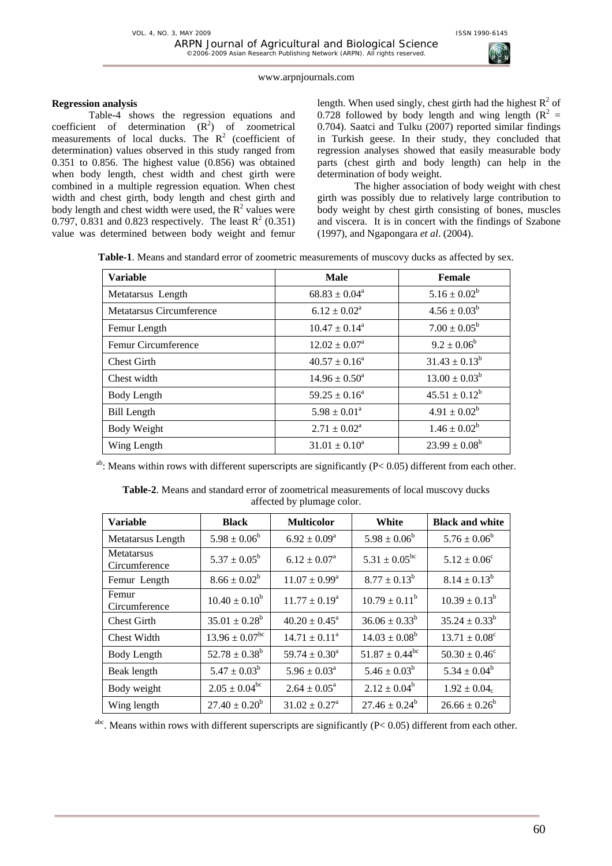

## **Regression analysis**

Table-4 shows the regression equations and coefficient of determination  $(R^2)$  of zoometrical measurements of local ducks. The  $R^2$  (coefficient of determination) values observed in this study ranged from 0.351 to 0.856. The highest value (0.856) was obtained when body length, chest width and chest girth were combined in a multiple regression equation. When chest width and chest girth, body length and chest girth and body length and chest width were used, the  $R^2$  values were 0.797, 0.831 and 0.823 respectively. The least  $R^2$  (0.351) value was determined between body weight and femur

length. When used singly, chest girth had the highest  $R^2$  of 0.728 followed by body length and wing length  $(R^2 =$ 0.704). Saatci and Tulku (2007) reported similar findings in Turkish geese. In their study, they concluded that regression analyses showed that easily measurable body parts (chest girth and body length) can help in the determination of body weight.

The higher association of body weight with chest girth was possibly due to relatively large contribution to body weight by chest girth consisting of bones, muscles and viscera. It is in concert with the findings of Szabone (1997), and Ngapongara *et al*. (2004).

**Table-1**. Means and standard error of zoometric measurements of muscovy ducks as affected by sex.

| <b>Variable</b>          | <b>Male</b>                | Female             |
|--------------------------|----------------------------|--------------------|
| Metatarsus Length        | $68.83 \pm 0.04^a$         | $5.16 \pm 0.02^b$  |
| Metatarsus Circumference | $6.12 \pm 0.02^a$          | $4.56 \pm 0.03^b$  |
| Femur Length             | $10.47 \pm 0.14^a$         | $7.00 \pm 0.05^b$  |
| Femur Circumference      | $12.02 \pm 0.07^{\circ}$   | $9.2 \pm 0.06^b$   |
| <b>Chest Girth</b>       | $40.57 \pm 0.16^a$         | $31.43 \pm 0.13^b$ |
| Chest width              | $14.96 \pm 0.50^{\circ}$   | $13.00 \pm 0.03^b$ |
| Body Length              | $59.25 \pm 0.16^a$         | $45.51 \pm 0.12^b$ |
| <b>Bill Length</b>       | $5.98 \pm 0.01^a$          | $4.91 \pm 0.02^b$  |
| <b>Body Weight</b>       | $2.71 \pm 0.02^{\text{a}}$ | $1.46 \pm 0.02^b$  |
| Wing Length              | $31.01 \pm 0.10^a$         | $23.99 \pm 0.08^b$ |

<sup>ab</sup>: Means within rows with different superscripts are significantly ( $P < 0.05$ ) different from each other.

| <b>Variable</b>             | <b>Black</b>                   | <b>Multicolor</b>                       | White                     | <b>Black and white</b>       |
|-----------------------------|--------------------------------|-----------------------------------------|---------------------------|------------------------------|
| Metatarsus Length           | $5.98 \pm 0.06^b$              | $6.92 \pm 0.09^a$                       | $5.98 \pm 0.06^b$         | $5.76 \pm 0.06^b$            |
| Metatarsus<br>Circumference | $5.37 \pm 0.05^{\rm b}$        | $6.12 \pm 0.07^{\rm a}$                 | $5.31 \pm 0.05^{bc}$      | $5.12 \pm 0.06^{\circ}$      |
| Femur Length                | $8.66 \pm 0.02^b$              | $8.77 \pm 0.13^b$<br>$11.07 \pm 0.99^a$ |                           | $8.14 \pm 0.13^b$            |
| Femur<br>Circumference      | $10.40 \pm 0.10^b$             | $11.77 \pm 0.19^a$                      | $10.79 \pm 0.11^b$        | $10.39 \pm 0.13^b$           |
| <b>Chest Girth</b>          | $35.01 \pm 0.28^b$             | $40.20 \pm 0.45^{\circ}$                | $36.06 \pm 0.33^b$        | $35.24 \pm 0.33^b$           |
| Chest Width                 | $13.96 \pm 0.07$ <sup>bc</sup> | $14.71 \pm 0.11^a$                      | $14.03 \pm 0.08^b$        | $13.71 \pm 0.08^c$           |
| Body Length                 | $52.78 \pm 0.38^b$             | $59.74 \pm 0.30^a$                      | $51.87 \pm 0.44^{\rm bc}$ | $50.30 \pm 0.46^{\circ}$     |
| Beak length                 | $5.47 \pm 0.03^b$              | $5.96 \pm 0.03^a$                       | $5.46 \pm 0.03^b$         | $5.34 \pm 0.04^b$            |
| Body weight                 | $2.05 \pm 0.04^{\rm bc}$       | $2.64 \pm 0.05^{\text{a}}$              | $2.12 \pm 0.04^b$         | $1.92 \pm 0.04$ <sub>c</sub> |
| Wing length                 | $27.40 \pm 0.20^b$             | $31.02 \pm 0.27$ <sup>a</sup>           | $27.46 \pm 0.24^b$        | $26.66 \pm 0.26^b$           |

**Table-2**. Means and standard error of zoometrical measurements of local muscovy ducks affected by plumage color.

<sup>abc</sup>. Means within rows with different superscripts are significantly ( $P < 0.05$ ) different from each other.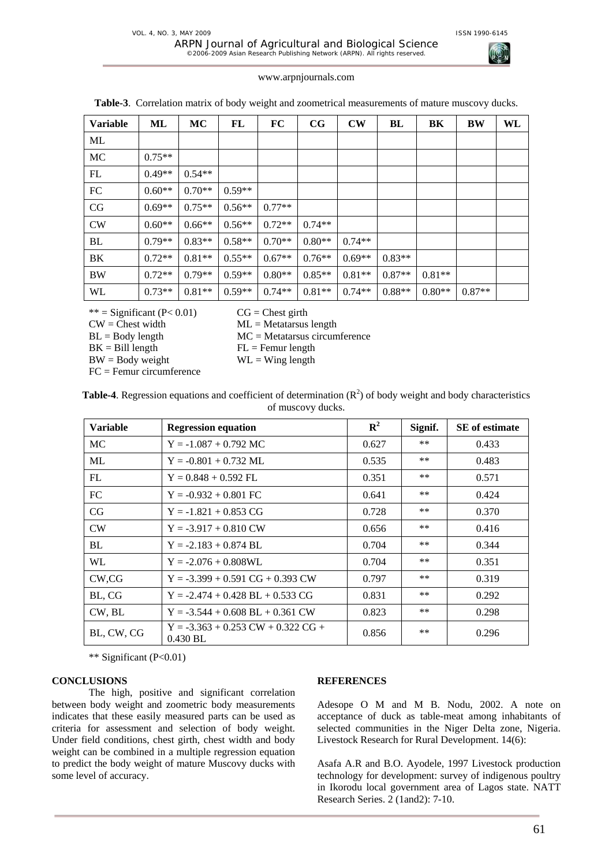

|  | www.arpnjournals.com |  |
|--|----------------------|--|
|  |                      |  |

| <b>Variable</b> | ML       | MC       | FL       | FC       | $_{\rm CG}$ | $\mathbf{CW}$ | BL       | BK       | BW       | WL |
|-----------------|----------|----------|----------|----------|-------------|---------------|----------|----------|----------|----|
| ML              |          |          |          |          |             |               |          |          |          |    |
| MC              | $0.75**$ |          |          |          |             |               |          |          |          |    |
| FL              | $0.49**$ | $0.54**$ |          |          |             |               |          |          |          |    |
| FC              | $0.60**$ | $0.70**$ | $0.59**$ |          |             |               |          |          |          |    |
| CG              | $0.69**$ | $0.75**$ | $0.56**$ | $0.77**$ |             |               |          |          |          |    |
| <b>CW</b>       | $0.60**$ | $0.66**$ | $0.56**$ | $0.72**$ | $0.74**$    |               |          |          |          |    |
| BL              | $0.79**$ | $0.83**$ | $0.58**$ | $0.70**$ | $0.80**$    | $0.74**$      |          |          |          |    |
| BK              | $0.72**$ | $0.81**$ | $0.55**$ | $0.67**$ | $0.76**$    | $0.69**$      | $0.83**$ |          |          |    |
| <b>BW</b>       | $0.72**$ | $0.79**$ | $0.59**$ | $0.80**$ | $0.85**$    | $0.81**$      | $0.87**$ | $0.81**$ |          |    |
| WL              | $0.73**$ | $0.81**$ | $0.59**$ | $0.74**$ | $0.81**$    | $0.74**$      | $0.88**$ | $0.80**$ | $0.87**$ |    |

\*\* = Significant  $(P< 0.01)$  CG = Chest girth

 $CW =$ Chest width  $ML =$ Metatarsus length

 $BK = Bill length$   $FL = Fermur length$ 

 $BL = Body length$   $MC = Metatarsus circumference$ 

 $BW = Body weight$  WL = Wing length

FC = Femur circumference

| of muscovy ducks. |                                                    |                |         |                       |  |  |  |
|-------------------|----------------------------------------------------|----------------|---------|-----------------------|--|--|--|
| <b>Variable</b>   | <b>Regression equation</b>                         | $\mathbf{R}^2$ | Signif. | <b>SE</b> of estimate |  |  |  |
| MC.               | $Y = -1.087 + 0.792$ MC                            | 0.627          | $***$   | 0.433                 |  |  |  |
| ML.               | $Y = -0.801 + 0.732$ ML                            | 0.535          | $***$   | 0.483                 |  |  |  |
| FL                | $Y = 0.848 + 0.592$ FL                             | 0.351          | $***$   | 0.571                 |  |  |  |
| FC                | $Y = -0.932 + 0.801$ FC                            | 0.641          | $***$   | 0.424                 |  |  |  |
| CG                | $Y = -1.821 + 0.853 \text{ CG}$                    | 0.728          | $***$   | 0.370                 |  |  |  |
| CW                | $Y = -3.917 + 0.810$ CW                            | 0.656          | $***$   | 0.416                 |  |  |  |
| BL                | $Y = -2.183 + 0.874$ BL                            | 0.704          | $***$   | 0.344                 |  |  |  |
| WL.               | $Y = -2.076 + 0.808W L$                            | 0.704          | $***$   | 0.351                 |  |  |  |
| CW.CG             | $Y = -3.399 + 0.591 \text{ CG} + 0.393 \text{ CW}$ | 0.797          | $***$   | 0.319                 |  |  |  |
| BL, CG            | $Y = -2.474 + 0.428$ BL + 0.533 CG                 | 0.831          | $***$   | 0.292                 |  |  |  |
| CW, BL            | $Y = -3.544 + 0.608$ BL + 0.361 CW                 | 0.823          | $***$   | 0.298                 |  |  |  |
| BL, CW, CG        | $Y = -3.363 + 0.253$ CW + 0.322 CG +<br>$0.430$ BL | 0.856          | $***$   | 0.296                 |  |  |  |

**Table-4**. Regression equations and coefficient of determination  $(R^2)$  of body weight and body characteristics of muscovy ducks.

\*\* Significant (P<0.01)

## **CONCLUSIONS**

The high, positive and significant correlation between body weight and zoometric body measurements indicates that these easily measured parts can be used as criteria for assessment and selection of body weight. Under field conditions, chest girth, chest width and body weight can be combined in a multiple regression equation to predict the body weight of mature Muscovy ducks with some level of accuracy.

# **REFERENCES**

Adesope O M and M B. Nodu, 2002. A note on acceptance of duck as table-meat among inhabitants of selected communities in the Niger Delta zone, Nigeria. Livestock Research for Rural Development. 14(6):

Asafa A.R and B.O. Ayodele, 1997 Livestock production technology for development: survey of indigenous poultry in Ikorodu local government area of Lagos state. NATT Research Series. 2 (1and2): 7-10.